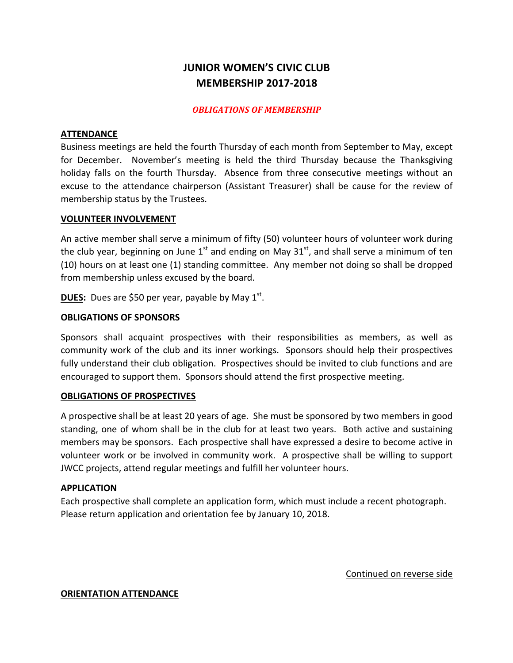# **JUNIOR WOMEN'S CIVIC CLUB MEMBERSHIP 2017-2018**

### *OBLIGATIONS OF MEMBERSHIP*

#### **ATTENDANCE**

Business meetings are held the fourth Thursday of each month from September to May, except for December. November's meeting is held the third Thursday because the Thanksgiving holiday falls on the fourth Thursday. Absence from three consecutive meetings without an excuse to the attendance chairperson (Assistant Treasurer) shall be cause for the review of membership status by the Trustees.

#### **VOLUNTEER INVOLVEMENT**

An active member shall serve a minimum of fifty (50) volunteer hours of volunteer work during the club year, beginning on June  $1^{st}$  and ending on May  $31^{st}$ , and shall serve a minimum of ten (10) hours on at least one (1) standing committee. Any member not doing so shall be dropped from membership unless excused by the board.

**DUES:** Dues are \$50 per year, payable by May 1<sup>st</sup>.

#### **OBLIGATIONS OF SPONSORS**

Sponsors shall acquaint prospectives with their responsibilities as members, as well as community work of the club and its inner workings. Sponsors should help their prospectives fully understand their club obligation. Prospectives should be invited to club functions and are encouraged to support them. Sponsors should attend the first prospective meeting.

#### **OBLIGATIONS OF PROSPECTIVES**

A prospective shall be at least 20 years of age. She must be sponsored by two members in good standing, one of whom shall be in the club for at least two years. Both active and sustaining members may be sponsors. Each prospective shall have expressed a desire to become active in volunteer work or be involved in community work. A prospective shall be willing to support JWCC projects, attend regular meetings and fulfill her volunteer hours.

#### APPLICATION

Each prospective shall complete an application form, which must include a recent photograph. Please return application and orientation fee by January 10, 2018.

Continued on reverse side

#### **ORIENTATION ATTENDANCE**